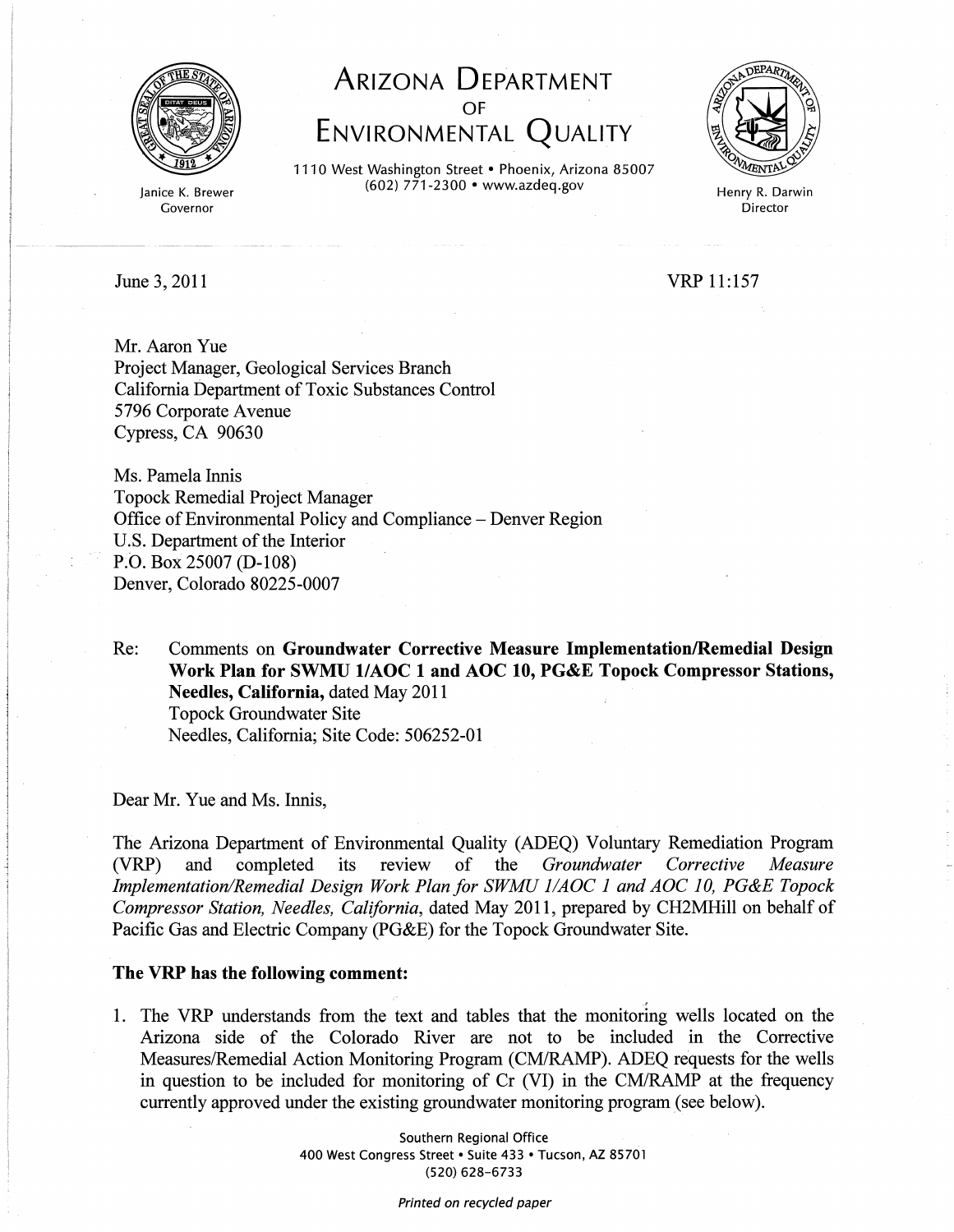

Janice K. Brewer Governor

**ARIZONA DEPARTMENT**  OF **ENVIRONMENTAL QUALITY** 

1110 West Washington Street • Phoenix, Arizona 85007 (602) 771-2300 • www.azdeq.gov



Henry R. Darwin Director

June 3, 2011

VRP 11:157

Mr. Aaron Yue Project Manager, Geological Services Branch California Department of Toxic Substances Control 5796 Corporate Avenue Cypress, CA 90630

Ms. Pamela Innis Topock Remedial Project Manager Office of Environmental Policy and Compliance - Denver Region U.S. Department of the Interior P.O. Box 25007 (D-108) Denver, Colorado 80225-0007

Re: Comments on Groundwater Corrective Measure Implementation/Remedial Design **Work Plan for SWMU** *VAOC* **1 and AOC 10, PG&E Topock Compressor Stations, Needles, California,** dated May 2011 Topock Groundwater Site Needles, California; Site Code: 506252-01

Dear Mr. Yue and Ms. Innis,

The Arizona Department of Environmental Quality (ADEQ) Voluntary Remediation Program (VRP) and completed its review of the *Groundwater Corrective Measure Implementation/Remedial Design Work Plan for SWMU lIAOC* 1 *and AOC 10, PG&E Topock Compressor Station, Needles, California,* dated May 2011, prepared by CH2MHill on behalf of Pacific Gas and Electric Company (PG&E) for the Topock Groundwater Site.

## **The VRP has the following comment:**

1. The VRP understands from the text and tables that the monitoring wells located on the Arizona side of the Colorado River are not to be included in the Corrective Measures/Remedial Action Monitoring Program (CM/RAMP). ADEQ requests for the wells in question to be included for monitoring of  $Cr$  (VI) in the  $CM/RAMP$  at the frequency currently approved under the existing groundwater monitoring program (see below).

> Southern Regional Office 400 West Congress Street · Suite 433 · Tucson, AZ 85701 (520) 628-6733

> > Printed on recycled paper